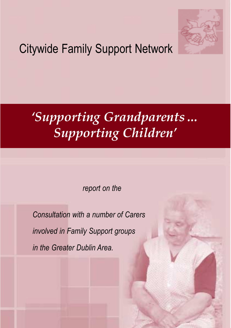

# Citywide Family Support Network

# *'Supporting Grandparents… Supporting Children'*

*report on the* 

*Consultation with a number of Carers involved in Family Support groups in the Greater Dublin Area.*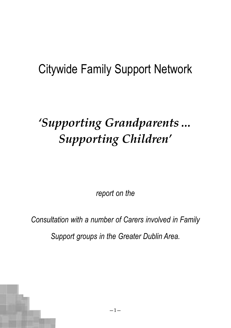# Citywide Family Support Network

# *'Supporting Grandparents… Supporting Children'*

*report on the* 

*Consultation with a number of Carers involved in Family*

*Support groups in the Greater Dublin Area.*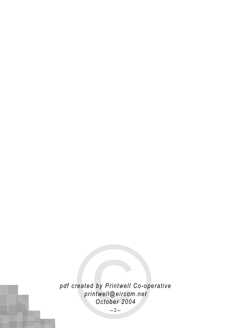reated by Printwell Co-ope<br>printwell@eircom.net<br>October 2004<br>-2*pdf created by Printwell Co-operative printwell@eircom.net October 2004*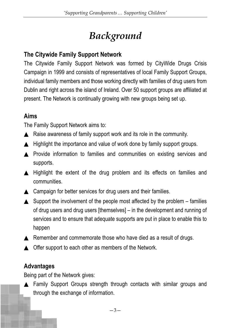# *Background*

## **The Citywide Family Support Network**

The Citywide Family Support Network was formed by CityWide Drugs Crisis Campaign in 1999 and consists of representatives of local Family Support Groups, individual family members and those working directly with families of drug users from Dublin and right across the island of Ireland. Over 50 support groups are affiliated at present. The Network is continually growing with new groups being set up.

#### **Aims**

The Family Support Network aims to:

- ▲ Raise awareness of family support work and its role in the community.
- ▲ Highlight the importance and value of work done by family support groups.
- ▲ Provide information to families and communities on existing services and supports.
- ▲ Highlight the extent of the drug problem and its effects on families and communities.
- ▲ Campaign for better services for drug users and their families.
- $\triangle$  Support the involvement of the people most affected by the problem families of drug users and drug users [themselves] – in the development and running of services and to ensure that adequate supports are put in place to enable this to happen
- ▲ Remember and commemorate those who have died as a result of drugs.
- ▲ Offer support to each other as members of the Network.

## **Advantages**

Being part of the Network gives:

▲ Family Support Groups strength through contacts with similar groups and through the exchange of information.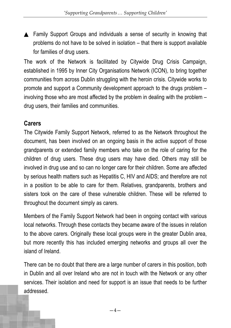▲ Family Support Groups and individuals a sense of security in knowing that problems do not have to be solved in isolation – that there is support available for families of drug users.

The work of the Network is facilitated by Citywide Drug Crisis Campaign, established in 1995 by Inner City Organisations Network (ICON), to bring together communities from across Dublin struggling with the heroin crisis. Citywide works to promote and support a Community development approach to the drugs problem – involving those who are most affected by the problem in dealing with the problem – drug users, their families and communities.

#### **Carers**

The Citywide Family Support Network, referred to as the Network throughout the document, has been involved on an ongoing basis in the active support of those grandparents or extended family members who take on the role of caring for the children of drug users. These drug users may have died. Others may still be involved in drug use and so can no longer care for their children. Some are affected by serious health matters such as Hepatitis C, HIV and AIDS; and therefore are not in a position to be able to care for them. Relatives, grandparents, brothers and sisters took on the care of these vulnerable children. These will be referred to throughout the document simply as carers.

Members of the Family Support Network had been in ongoing contact with various local networks. Through these contacts they became aware of the issues in relation to the above carers. Originally these local groups were in the greater Dublin area, but more recently this has included emerging networks and groups all over the island of Ireland.

There can be no doubt that there are a large number of carers in this position, both in Dublin and all over Ireland who are not in touch with the Network or any other services. Their isolation and need for support is an issue that needs to be further addressed.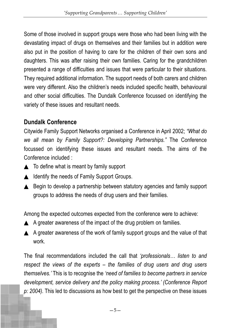Some of those involved in support groups were those who had been living with the devastating impact of drugs on themselves and their families but in addition were also put in the position of having to care for the children of their own sons and daughters. This was after raising their own families. Caring for the grandchildren presented a range of difficulties and issues that were particular to their situations. They required additional information. The support needs of both carers and children were very different. Also the children's needs included specific health, behavioural and other social difficulties. The Dundalk Conference focussed on identifying the variety of these issues and resultant needs.

# **Dundalk Conference**

Citywide Family Support Networks organised a Conference in April 2002; *"What do we all mean by Family Support?: Developing Partnerships."* The Conference focussed on identifying these issues and resultant needs. The aims of the Conference included :

- $\triangle$  To define what is meant by family support
- ▲ Identify the needs of Family Support Groups.
- ▲ Begin to develop a partnership between statutory agencies and family support groups to address the needs of drug users and their families.

Among the expected outcomes expected from the conference were to achieve:

- $\triangle$  A greater awareness of the impact of the drug problem on families.
- ▲ A greater awareness of the work of family support groups and the value of that work.

The final recommendations included the call that *'professionals… listen to and respect the views of the experts – the families of drug users and drug users themselves.'* This is to recognise the *'need of families to become partners in service development, service delivery and the policy making process.' (Conference Report p: 2004).* This led to discussions as how best to get the perspective on these issues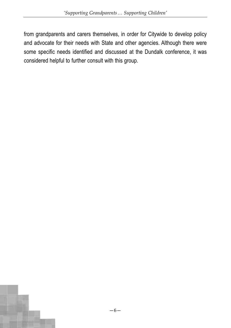from grandparents and carers themselves, in order for Citywide to develop policy and advocate for their needs with State and other agencies. Although there were some specific needs identified and discussed at the Dundalk conference, it was considered helpful to further consult with this group.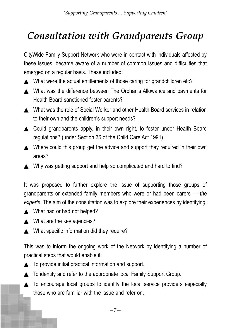# *Consultation with Grandparents Group*

CityWide Family Support Network who were in contact with individuals affected by these issues, became aware of a number of common issues and difficulties that emerged on a regular basis. These included:

- ▲ What were the actual entitlements of those caring for grandchildren etc?
- ▲ What was the difference between The Orphan's Allowance and payments for Health Board sanctioned foster parents?
- ▲ What was the role of Social Worker and other Health Board services in relation to their own and the children's support needs?
- ▲ Could grandparents apply, in their own right, to foster under Health Board regulations? (under Section 36 of the Child Care Act 1991).
- ▲ Where could this group get the advice and support they required in their own areas?
- ▲ Why was getting support and help so complicated and hard to find?

It was proposed to further explore the issue of supporting those groups of grandparents or extended family members who were or had been carers — *the experts.* The aim of the consultation was to explore their experiences by identifying:

- ▲ What had or had not helped?
- ▲ What are the key agencies?
- ▲ What specific information did they require?

This was to inform the ongoing work of the Network by identifying a number of practical steps that would enable it:

- ▲ To provide initial practical information and support.
- ▲ To identify and refer to the appropriate local Family Support Group.
- ▲ To encourage local groups to identify the local service providers especially those who are familiar with the issue and refer on.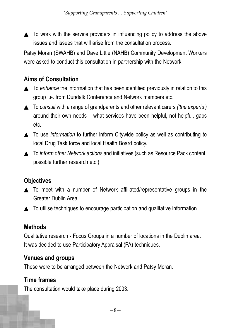$\triangle$  To work with the service providers in influencing policy to address the above issues and issues that will arise from the consultation process.

Patsy Moran (SWAHB) and Dave Little (NAHB) Community Development Workers were asked to conduct this consultation in partnership with the Network.

## **Aims of Consultation**

- ▲ To *enhance* the information that has been identified previously in relation to this group i.e. from Dundalk Conference and Network members etc.
- ▲ To *consult* with a range of grandparents and other relevant carers *('the experts')* around their own needs – what services have been helpful, not helpful, gaps etc.
- ▲ To use *information* to further inform Citywide policy as well as contributing to local Drug Task force and local Health Board policy.
- ▲ To *inform other Network actions* and initiatives (such as Resource Pack content, possible further research etc.).

#### **Objectives**

- ▲ To meet with a number of Network affiliated/representative groups in the Greater Dublin Area.
- ▲ To utilise techniques to encourage participation and qualitative information.

## **Methods**

Qualitative research - Focus Groups in a number of locations in the Dublin area. It was decided to use Participatory Appraisal (PA) techniques.

#### **Venues and groups**

These were to be arranged between the Network and Patsy Moran.

## **Time frames**

The consultation would take place during 2003.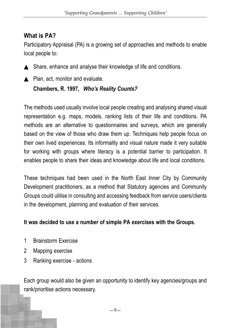#### **What is PA?**

Participatory Appraisal (PA) is a growing set of approaches and methods to enable local people to:

- 
- ▲ Share, enhance and analyse their knowledge of life and conditions.
- ▲ Plan, act, monitor and evaluate.

#### **Chambers, R. 1997,** *Who's Reality Counts?*

The methods used usually involve local people creating and analysing shared visual representation e.g. maps, models, ranking lists of their life and conditions. PA methods are an alternative to questionnaires and surveys, which are generally based on the view of those who draw them up. Techniques help people focus on their own lived experiences. Its informality and visual nature made it very suitable for working with groups where literacy is a potential barrier to participation. It enables people to share their ideas and knowledge about life and local conditions.

These techniques had been used in the North East Inner City by Community Development practitioners, as a method that Statutory agencies and Community Groups could utilise in consulting and accessing feedback from service users/clients in the development, planning and evaluation of their services.

#### **It was decided to use a number of simple PA exercises with the Groups.**

- 1 Brainstorm Exercise
- 2 Mapping exercise
- 3 Ranking exercise actions

Each group would also be given an opportunity to identify key agencies/groups and rank/prioritise actions necessary.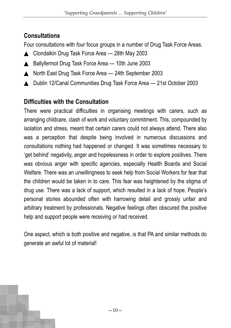# **Consultations**

Four consultations with four focus groups in a number of Drug Task Force Areas.

- ▲ Clondalkin Drug Task Force Area 28th May 2003
- ▲ Ballyfermot Drug Task Force Area 10th June 2003
- ▲ North East Drug Task Force Area 24th September 2003
- ▲ Dublin 12/Canal Communities Drug Task Force Area 21st October 2003

# **Difficulties with the Consultation**

There were practical difficulties in organising meetings with carers, such as arranging childcare, clash of work and voluntary commitment. This, compounded by isolation and stress, meant that certain carers could not always attend. There also was a perception that despite being involved in numerous discussions and consultations nothing had happened or changed. It was sometimes necessary to 'get behind' negativity, anger and hopelessness in order to explore positives. There was obvious anger with specific agencies, especially Health Boards and Social Welfare. There was an unwillingness to seek help from Social Workers for fear that the children would be taken in to care. This fear was heightened by the stigma of drug use. There was a lack of support, which resulted in a lack of hope. People's personal stories abounded often with harrowing detail and grossly unfair and arbitrary treatment by professionals. Negative feelings often obscured the positive help and support people were receiving or had received.

One aspect, which is both positive and negative, is that PA and similar methods do generate an awful lot of material!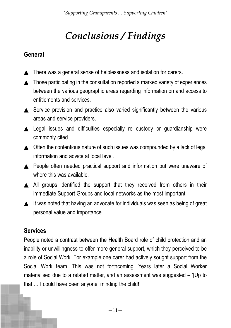# *Conclusions / Findings*

#### **General**

- ▲ There was a general sense of helplessness and isolation for carers.
- ▲ Those participating in the consultation reported a marked variety of experiences between the various geographic areas regarding information on and access to entitlements and services.
- ▲ Service provision and practice also varied significantly between the various areas and service providers.
- ▲ Legal issues and difficulties especially re custody or guardianship were commonly cited.
- ▲ Often the contentious nature of such issues was compounded by a lack of legal information and advice at local level.
- ▲ People often needed practical support and information but were unaware of where this was available.
- ▲ All groups identified the support that they received from others in their immediate Support Groups and local networks as the most important.
- ▲ It was noted that having an advocate for individuals was seen as being of great personal value and importance.

## **Services**

People noted a contrast between the Health Board role of child protection and an inability or unwillingness to offer more general support, which they perceived to be a role of Social Work. For example one carer had actively sought support from the Social Work team. This was not forthcoming. Years later a Social Worker materialised due to a related matter, and an assessment was suggested – '[Up to that]… I could have been anyone, minding the child!'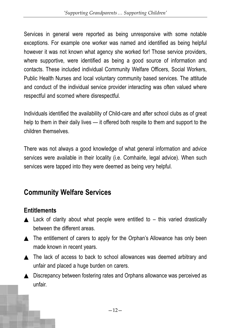Services in general were reported as being unresponsive with some notable exceptions. For example one worker was named and identified as being helpful however it was not known what agency she worked for! Those service providers, where supportive, were identified as being a good source of information and contacts. These included individual Community Welfare Officers, Social Workers, Public Health Nurses and local voluntary community based services. The attitude and conduct of the individual service provider interacting was often valued where respectful and scorned where disrespectful.

Individuals identified the availability of Child-care and after school clubs as of great help to them in their daily lives — it offered both respite to them and support to the children themselves.

There was not always a good knowledge of what general information and advice services were available in their locality (i.e. Comhairle, legal advice). When such services were tapped into they were deemed as being very helpful.

# **Community Welfare Services**

## **Entitlements**

- $\triangle$  Lack of clarity about what people were entitled to this varied drastically between the different areas.
- ▲ The entitlement of carers to apply for the Orphan's Allowance has only been made known in recent years.
- ▲ The lack of access to back to school allowances was deemed arbitrary and unfair and placed a huge burden on carers.
- ▲ Discrepancy between fostering rates and Orphans allowance was perceived as unfair.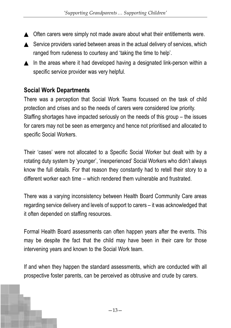- ▲ Often carers were simply not made aware about what their entitlements were.
- ▲ Service providers varied between areas in the actual delivery of services, which ranged from rudeness to courtesy and 'taking the time to help'.
- ▲ In the areas where it had developed having a designated link-person within a specific service provider was very helpful.

#### **Social Work Departments**

There was a perception that Social Work Teams focussed on the task of child protection and crises and so the needs of carers were considered low priority. Staffing shortages have impacted seriously on the needs of this group – the issues for carers may not be seen as emergency and hence not prioritised and allocated to specific Social Workers.

Their 'cases' were not allocated to a Specific Social Worker but dealt with by a rotating duty system by 'younger', 'inexperienced' Social Workers who didn't always know the full details. For that reason they constantly had to retell their story to a different worker each time – which rendered them vulnerable and frustrated.

There was a varying inconsistency between Health Board Community Care areas regarding service delivery and levels of support to carers – it was acknowledged that it often depended on staffing resources.

Formal Health Board assessments can often happen years after the events. This may be despite the fact that the child may have been in their care for those intervening years and known to the Social Work team.

If and when they happen the standard assessments, which are conducted with all prospective foster parents, can be perceived as obtrusive and crude by carers.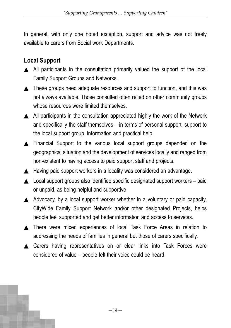In general, with only one noted exception, support and advice was not freely available to carers from Social work Departments.

# **Local Support**

- ▲ All participants in the consultation primarily valued the support of the local Family Support Groups and Networks.
- ▲ These groups need adequate resources and support to function, and this was not always available. Those consulted often relied on other community groups whose resources were limited themselves
- ▲ All participants in the consultation appreciated highly the work of the Network and specifically the staff themselves – in terms of personal support, support to the local support group, information and practical help .
- ▲ Financial Support to the various local support groups depended on the geographical situation and the development of services locally and ranged from non-existent to having access to paid support staff and projects.
- ▲ Having paid support workers in a locality was considered an advantage.
- $\triangle$  Local support groups also identified specific designated support workers paid or unpaid, as being helpful and supportive
- ▲ Advocacy, by a local support worker whether in a voluntary or paid capacity, CityWide Family Support Network and/or other designated Projects, helps people feel supported and get better information and access to services.
- ▲ There were mixed experiences of local Task Force Areas in relation to addressing the needs of families in general but those of carers specifically.
- ▲ Carers having representatives on or clear links into Task Forces were considered of value – people felt their voice could be heard.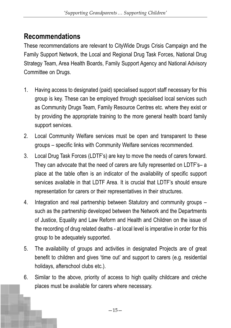# **Recommendations**

These recommendations are relevant to CityWide Drugs Crisis Campaign and the Family Support Network, the Local and Regional Drug Task Forces, National Drug Strategy Team, Area Health Boards, Family Support Agency and National Advisory Committee on Drugs.

- 1. Having access to designated (paid) specialised support staff necessary for this group is key. These can be employed through specialised local services such as Community Drugs Team, Family Resource Centres etc. where they exist or by providing the appropriate training to the more general health board family support services.
- 2. Local Community Welfare services must be open and transparent to these groups – specific links with Community Welfare services recommended.
- 3. Local Drug Task Forces (LDTF's) are key to move the needs of carers forward. They can advocate that the need of carers are fully represented on LDTF's– a place at the table often is an indicator of the availability of specific support services available in that LDTF Area. It is crucial that LDTF's should ensure representation for carers or their representatives in their structures.
- 4. Integration and real partnership between Statutory and community groups such as the partnership developed between the Network and the Departments of Justice, Equality and Law Reform and Health and Children on the issue of the recording of drug related deaths - at local level is imperative in order for this group to be adequately supported.
- 5. The availability of groups and activities in designated Projects are of great benefit to children and gives 'time out' and support to carers (e.g. residential holidays, afterschool clubs etc.).
- 6. Similar to the above, priority of access to high quality childcare and crèche places must be available for carers where necessary.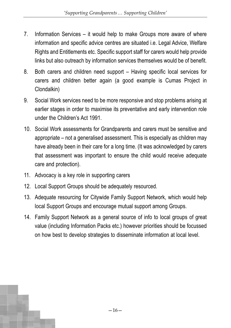- 7. Information Services it would help to make Groups more aware of where information and specific advice centres are situated i.e. Legal Advice, Welfare Rights and Entitlements etc. Specific support staff for carers would help provide links but also outreach by information services themselves would be of benefit.
- 8. Both carers and children need support Having specific local services for carers and children better again (a good example is Cumas Project in Clondalkin)
- 9. Social Work services need to be more responsive and stop problems arising at earlier stages in order to maximise its preventative and early intervention role under the Children's Act 1991.
- 10. Social Work assessments for Grandparents and carers must be sensitive and appropriate – not a generalised assessment. This is especially as children may have already been in their care for a long time. (It was acknowledged by carers that assessment was important to ensure the child would receive adequate care and protection).
- 11. Advocacy is a key role in supporting carers
- 12. Local Support Groups should be adequately resourced.
- 13. Adequate resourcing for Citywide Family Support Network, which would help local Support Groups and encourage mutual support among Groups.
- 14. Family Support Network as a general source of info to local groups of great value (including Information Packs etc.) however priorities should be focussed on how best to develop strategies to disseminate information at local level.